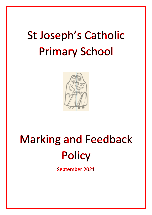## **St Joseph's Catholic Primary School**



# **Marking and Feedback Policy**

September 2021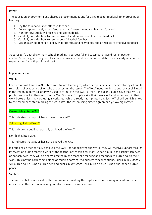## Intent

The Education Endowment Fund shares six recommendations for using teacher feedback to improve pupil learning:

- 1. Lay the foundations for effective feedback
- 2. Deliver appropriately timed feedback that focuses on moving learning forwards
- 3. Plan for how pupils will receive and use feedback
- 4. Carefully consider how to use purposeful, and time-efficient, written feedback
- 5. Carefully consider how to use purposeful verbal feedback
- 6. Design a school feedback policy that priorities and exemplifies the principles of effective feedback

At St Joseph's Catholic Primary School, marking is purposeful and succinct to have direct impact on children's learning and progress. This policy considers the above recommendations and clearly sets out the expectations for both pupils and staff.

### Implementation

### WALTs

Each lesson will have a WALT objective (We are learning to) which is kept simple and achievable by all pupils, regardless of academic ability, who are accessing the lesson. The WALT needs to link to strategy or skill used in the lesson. Blooms Taxonomy is used to formulate the WALTs. Year 1 and Year 2 pupils have their WALTs printed and stuck in their work books. Year 3 to Year 6 pupils write their own WALT and underline it in their work books unless they are using a worksheet which already has it printed on. Each WALT will be highlighted by the member of staff marking the work after the lesson using either a green or a yellow highlighter.

Green highlighted WALT

This indicates that a pupil has achieved the WALT.

Yellow highlighted WALT

This indicates a pupil has partially achieved the WALT.

Non-highlighted WALT

This indicates that a pupil has not achieved the WALT.

If a pupil has either partially achieved the WALT or not achieved the WALT, they will receive support through intervention during morning work by the teacher or teaching assistant. When a pupil has partially achieved or not achieved, they will be clearly directed by the teacher's marking and feedback to purple polish their work. This may be correcting, editing or redoing parts of it to address misconceptions. Pupils in Key Stage 2 will purple polish using a purple pen and pupils in Key Stage 1 will purple polish using a sharpened purple pencil.

## Symbols

The symbols below are used by the staff member marking the pupil's work in the margin or where the error is, such as in the place of a missing full stop or over the misspelt word.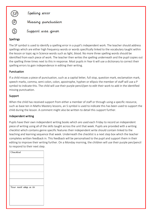

Support was given

## Spellings

 $\widehat{S}$ 

The SP symbol is used to identify a spelling error in a pupil's independent work. The teacher should address spellings which are either high frequency words or words specifically linked to the vocabulary taught within the lesson or topic eg in Science words such as light, blood. No more three spelling words should be identified from each piece of work. The teacher then writes the spelling underneath and the pupil copies out the spelling three times next to this in response. Most pupils in Year 6 will use a dictionary to correct their spelling errors to gain independence in editing their writing.

## Punctuation

If a child misses a piece of punctuation, such as a capital letter, full stop, question mark, exclamation mark, speech marks, comma, semi colon, colon, apostrophe, hyphen or ellipsis the member of staff will use a P symbol to indicate this. The child will use their purple pencil/pen to edit their work to add in the identified missing punctuation.

## Support

When the child has received support from either a member of staff or through using a specific resource, such as base ten in Maths Mastery lessons, an S symbol is used to indicate this has been used to support the child during the lesson. A comment might also be written to detail this support further.

## Independent writing

Pupils have their own independent writing books which are used each Friday to record an independent piece of writing using all of the skills taught across the unit that week. Pupils are provided with a writing checklist which contains genre specific features their independent write should contain linked to the teaching and learning sequence that week. Underneath the checklist is a next step box which the teacher completes written feedback in. This feedback will be personalised to the pupil and support them in their editing to improve their writing further. On a Monday morning, the children will use their purple pen/pencil to respond to their next step.